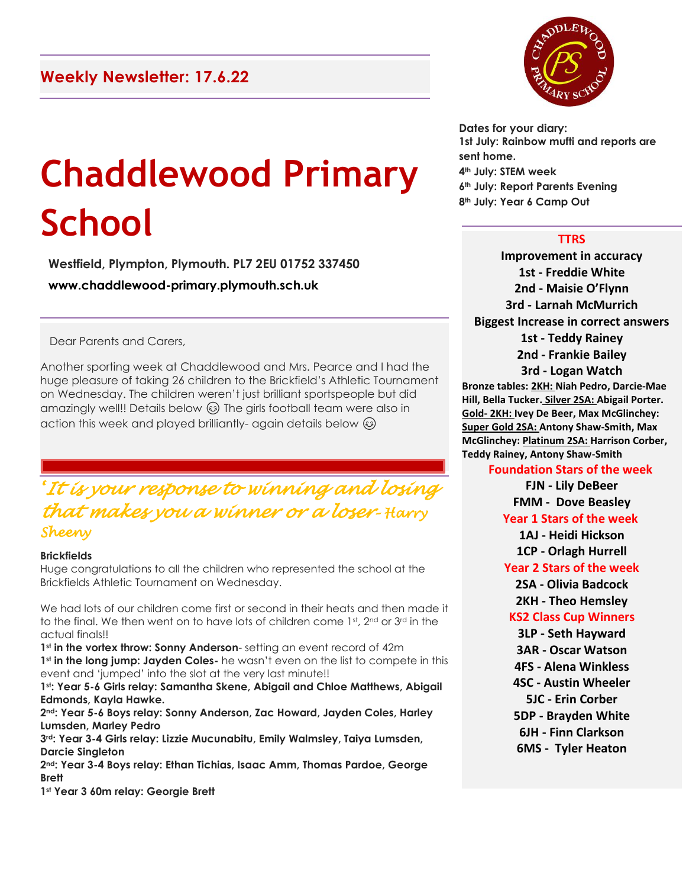# **Chaddlewood Primary School**

**Westfield, Plympton, Plymouth. PL7 2EU 01752 337450 www.chaddlewood-primary.plymouth.sch.uk**

Dear Parents and Carers,

Another sporting week at Chaddlewood and Mrs. Pearce and I had the huge pleasure of taking 26 children to the Brickfield's Athletic Tournament on Wednesday. The children weren't just brilliant sportspeople but did amazingly well!! Details below  $\odot$  The girls football team were also in action this week and played brilliantly- again details below  $\circledS$ 

# *'It is your response to winning and losing that makes you a winner or a loser– Harry Sheeny*

#### **Brickfields**

Huge congratulations to all the children who represented the school at the Brickfields Athletic Tournament on Wednesday.

We had lots of our children come first or second in their heats and then made it to the final. We then went on to have lots of children come 1st, 2nd or 3rd in the actual finals!!

**1st in the vortex throw: Sonny Anderson**- setting an event record of 42m 1<sup>st</sup> in the long jump: Jayden Coles- he wasn't even on the list to compete in this event and 'jumped' into the slot at the very last minute!!

**1st: Year 5-6 Girls relay: Samantha Skene, Abigail and Chloe Matthews, Abigail Edmonds, Kayla Hawke.**

**2nd: Year 5-6 Boys relay: Sonny Anderson, Zac Howard, Jayden Coles, Harley Lumsden, Marley Pedro**

**3rd: Year 3-4 Girls relay: Lizzie Mucunabitu, Emily Walmsley, Taiya Lumsden, Darcie Singleton**

**2nd: Year 3-4 Boys relay: Ethan Tichias, Isaac Amm, Thomas Pardoe, George Brett**

**1st Year 3 60m relay: Georgie Brett**



**Dates for your diary: 1st July: Rainbow mufti and reports are sent home. 4th July: STEM week 6th July: Report Parents Evening 8th July: Year 6 Camp Out**

# **TTRS**

**Improvement in accuracy 1st - Freddie White 2nd - Maisie O'Flynn 3rd - Larnah McMurrich Biggest Increase in correct answers 1st - Teddy Rainey 2nd - Frankie Bailey 3rd - Logan Watch Bronze tables: 2KH: Niah Pedro, Darcie-Mae Hill, Bella Tucker. Silver 2SA: Abigail Porter. Gold- 2KH: Ivey De Beer, Max McGlinchey: Super Gold 2SA: Antony Shaw-Smith, Max McGlinchey: Platinum 2SA: Harrison Corber, Teddy Rainey, Antony Shaw-Smith**

# **Foundation Stars of the week**

**FJN - Lily DeBeer FMM - Dove Beasley**

# **Year 1 Stars of the week**

**1AJ - Heidi Hickson**

**1CP - Orlagh Hurrell**

# **Year 2 Stars of the week**

**2SA - Olivia Badcock**

**2KH - Theo Hemsley**

# **KS2 Class Cup Winners**

**3LP - Seth Hayward**

**3AR - Oscar Watson**

**4FS - Alena Winkless**

**4SC - Austin Wheeler**

- **5JC - Erin Corber**
- **5DP - Brayden White**
- **6JH - Finn Clarkson**
- **6MS - Tyler Heaton**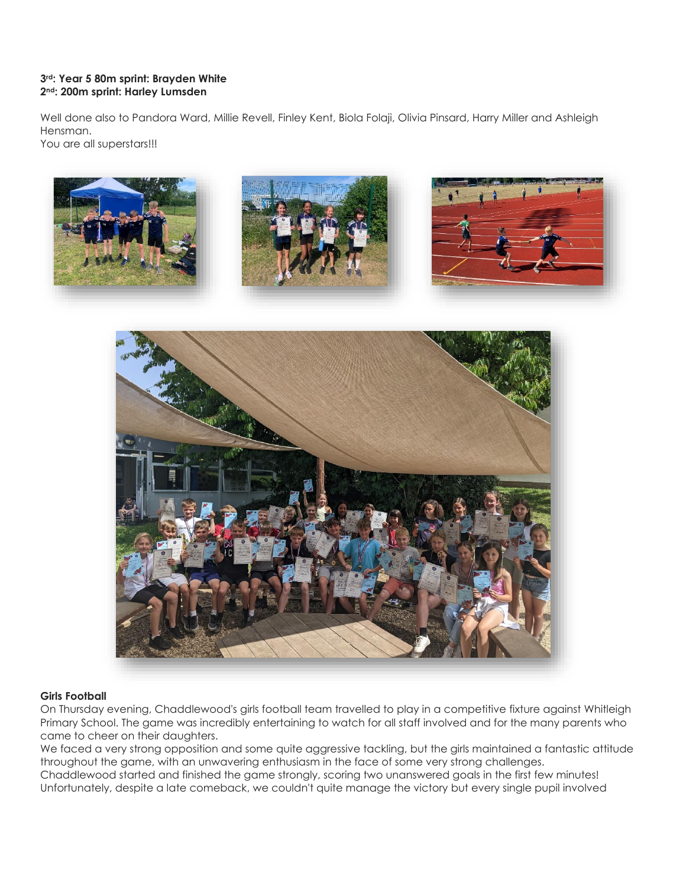#### **3rd: Year 5 80m sprint: Brayden White 2nd: 200m sprint: Harley Lumsden**

Well done also to Pandora Ward, Millie Revell, Finley Kent, Biola Folaji, Olivia Pinsard, Harry Miller and Ashleigh Hensman. You are all superstars!!!



#### **Girls Football**

On Thursday evening, Chaddlewood's girls football team travelled to play in a competitive fixture against Whitleigh Primary School. The game was incredibly entertaining to watch for all staff involved and for the many parents who came to cheer on their daughters.

We faced a very strong opposition and some quite aggressive tackling, but the girls maintained a fantastic attitude throughout the game, with an unwavering enthusiasm in the face of some very strong challenges. Chaddlewood started and finished the game strongly, scoring two unanswered goals in the first few minutes! Unfortunately, despite a late comeback, we couldn't quite manage the victory but every single pupil involved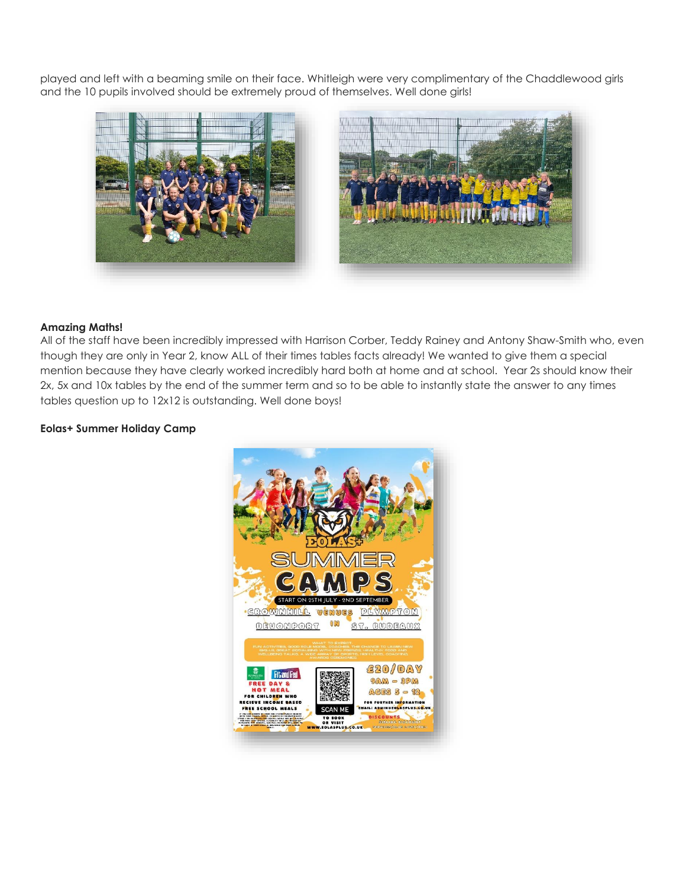played and left with a beaming smile on their face. Whitleigh were very complimentary of the Chaddlewood girls and the 10 pupils involved should be extremely proud of themselves. Well done girls!



#### **Amazing Maths!**

All of the staff have been incredibly impressed with Harrison Corber, Teddy Rainey and Antony Shaw-Smith who, even though they are only in Year 2, know ALL of their times tables facts already! We wanted to give them a special mention because they have clearly worked incredibly hard both at home and at school. Year 2s should know their 2x, 5x and 10x tables by the end of the summer term and so to be able to instantly state the answer to any times tables question up to 12x12 is outstanding. Well done boys!

#### **Eolas+ Summer Holiday Camp**

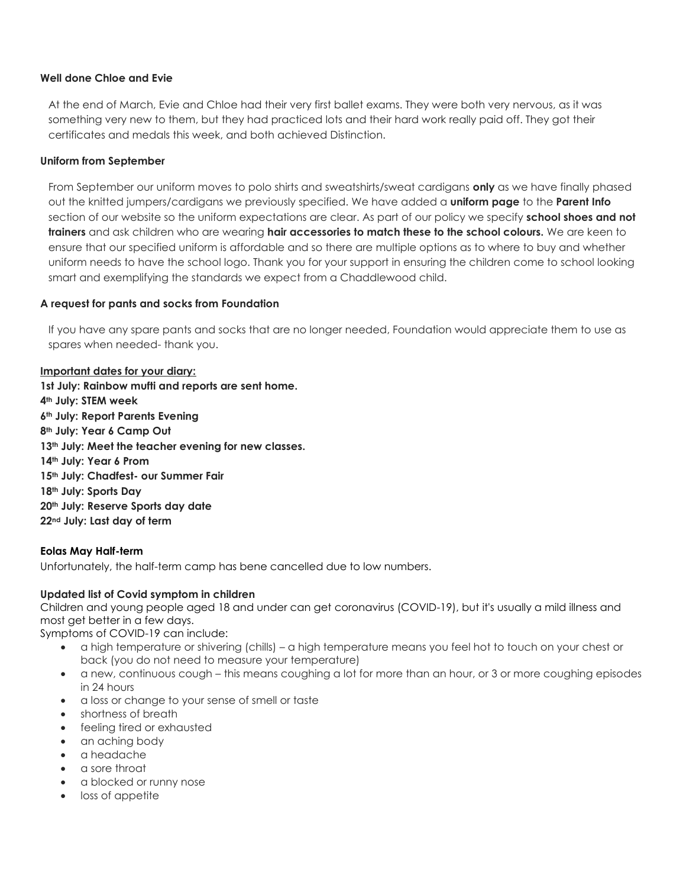#### **Well done Chloe and Evie**

At the end of March, Evie and Chloe had their very first ballet exams. They were both very nervous, as it was something very new to them, but they had practiced lots and their hard work really paid off. They got their certificates and medals this week, and both achieved Distinction.

#### **Uniform from September**

From September our uniform moves to polo shirts and sweatshirts/sweat cardigans **only** as we have finally phased out the knitted jumpers/cardigans we previously specified. We have added a **uniform page** to the **Parent Info** section of our website so the uniform expectations are clear. As part of our policy we specify **school shoes and not trainers** and ask children who are wearing **hair accessories to match these to the school colours.** We are keen to ensure that our specified uniform is affordable and so there are multiple options as to where to buy and whether uniform needs to have the school logo. Thank you for your support in ensuring the children come to school looking smart and exemplifying the standards we expect from a Chaddlewood child.

#### **A request for pants and socks from Foundation**

If you have any spare pants and socks that are no longer needed, Foundation would appreciate them to use as spares when needed- thank you.

#### **Important dates for your diary:**

**1st July: Rainbow mufti and reports are sent home. th July: STEM week th July: Report Parents Evening th July: Year 6 Camp Out th July: Meet the teacher evening for new classes. th July: Year 6 Prom th July: Chadfest- our Summer Fair th July: Sports Day th July: Reserve Sports day date nd July: Last day of term**

#### **Eolas May Half-term**

Unfortunately, the half-term camp has bene cancelled due to low numbers.

#### **Updated list of Covid symptom in children**

Children and young people aged 18 and under can get coronavirus (COVID-19), but it's usually a mild illness and most get better in a few days.

Symptoms of COVID-19 can include:

- a high temperature or shivering (chills) a high temperature means you feel hot to touch on your chest or back (you do not need to measure your temperature)
- a new, continuous cough this means coughing a lot for more than an hour, or 3 or more coughing episodes in 24 hours
- a loss or change to your sense of smell or taste
- shortness of breath
- feeling tired or exhausted
- an aching body
- a headache
- a sore throat
- a blocked or runny nose
- loss of appetite